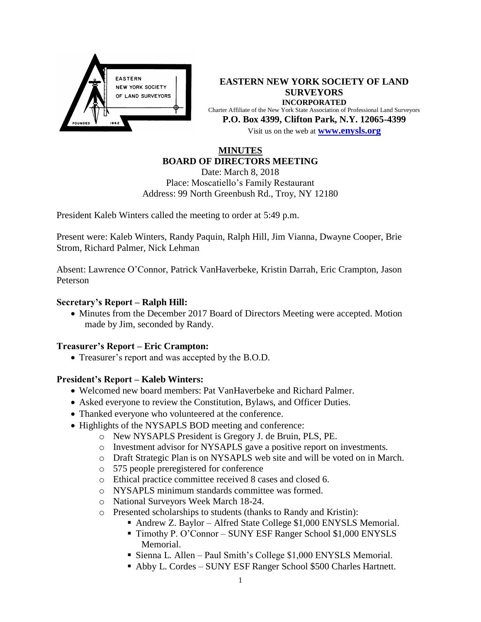

**EASTERN NEW YORK SOCIETY OF LAND SURVEYORS INCORPORATED** Charter Affiliate of the New York State Association of Professional Land Surveyors **P.O. Box 4399, Clifton Park, N.Y. 12065-4399** Visit us on the web at **[www.e](http://www.enysls.org/)nysls.org**

## **MINUTES BOARD OF DIRECTORS MEETING**

Date: March 8, 2018 Place: Moscatiello's Family Restaurant Address: 99 North Greenbush Rd., Troy, NY 12180

President Kaleb Winters called the meeting to order at 5:49 p.m.

Present were: Kaleb Winters, Randy Paquin, Ralph Hill, Jim Vianna, Dwayne Cooper, Brie Strom, Richard Palmer, Nick Lehman

Absent: Lawrence O'Connor, Patrick VanHaverbeke, Kristin Darrah, Eric Crampton, Jason Peterson

### **Secretary's Report – Ralph Hill:**

• Minutes from the December 2017 Board of Directors Meeting were accepted. Motion made by Jim, seconded by Randy.

## **Treasurer's Report – Eric Crampton:**

Treasurer's report and was accepted by the B.O.D.

## **President's Report – Kaleb Winters:**

- Welcomed new board members: Pat VanHaverbeke and Richard Palmer.
- Asked everyone to review the Constitution, Bylaws, and Officer Duties.
- Thanked everyone who volunteered at the conference.
- Highlights of the NYSAPLS BOD meeting and conference:
	- o New NYSAPLS President is Gregory J. de Bruin, PLS, PE.
	- o Investment advisor for NYSAPLS gave a positive report on investments.
	- o Draft Strategic Plan is on NYSAPLS web site and will be voted on in March.
	- o 575 people preregistered for conference
	- o Ethical practice committee received 8 cases and closed 6.
	- o NYSAPLS minimum standards committee was formed.
	- o National Surveyors Week March 18-24.
	- o Presented scholarships to students (thanks to Randy and Kristin):
		- Andrew Z. Baylor Alfred State College \$1,000 ENYSLS Memorial.
		- Timothy P. O'Connor SUNY ESF Ranger School \$1,000 ENYSLS Memorial.
		- Sienna L. Allen Paul Smith's College \$1,000 ENYSLS Memorial.
		- Abby L. Cordes SUNY ESF Ranger School \$500 Charles Hartnett.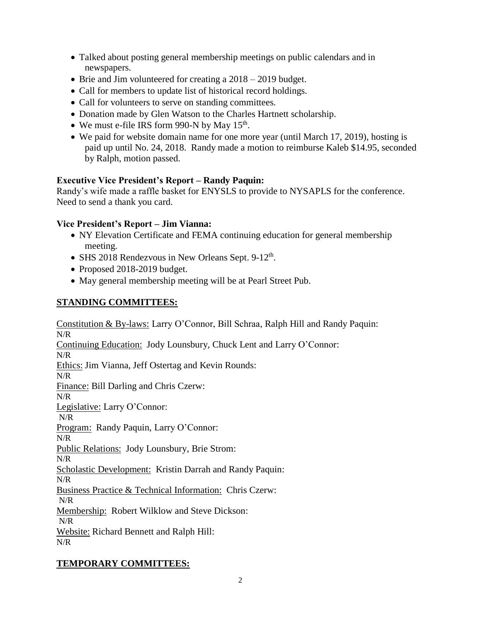- Talked about posting general membership meetings on public calendars and in newspapers.
- Brie and Jim volunteered for creating a  $2018 2019$  budget.
- Call for members to update list of historical record holdings.
- Call for volunteers to serve on standing committees.
- Donation made by Glen Watson to the Charles Hartnett scholarship.
- We must e-file IRS form 990-N by May  $15<sup>th</sup>$ .
- We paid for website domain name for one more year (until March 17, 2019), hosting is paid up until No. 24, 2018. Randy made a motion to reimburse Kaleb \$14.95, seconded by Ralph, motion passed.

## **Executive Vice President's Report – Randy Paquin:**

Randy's wife made a raffle basket for ENYSLS to provide to NYSAPLS for the conference. Need to send a thank you card.

## **Vice President's Report – Jim Vianna:**

- NY Elevation Certificate and FEMA continuing education for general membership meeting.
- SHS 2018 Rendezvous in New Orleans Sept. 9-12<sup>th</sup>.
- Proposed 2018-2019 budget.
- May general membership meeting will be at Pearl Street Pub.

# **STANDING COMMITTEES:**

Constitution & By-laws: Larry O'Connor, Bill Schraa, Ralph Hill and Randy Paquin: N/R Continuing Education: Jody Lounsbury, Chuck Lent and Larry O'Connor: N/R Ethics: Jim Vianna, Jeff Ostertag and Kevin Rounds: N/R Finance: Bill Darling and Chris Czerw: N/R Legislative: Larry O'Connor: N/R Program: Randy Paquin, Larry O'Connor: N/R Public Relations: Jody Lounsbury, Brie Strom: N/R Scholastic Development: Kristin Darrah and Randy Paquin: N/R Business Practice & Technical Information: Chris Czerw: N/R Membership: Robert Wilklow and Steve Dickson: N/R Website: Richard Bennett and Ralph Hill: N/R

# **TEMPORARY COMMITTEES:**